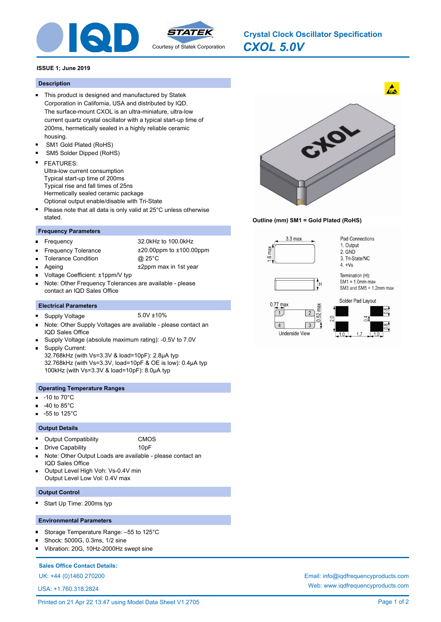

*CXOL 5.0V* **Crystal Clock Oscillator Specification**

# **ISSUE 1; June 2019**

#### **Description**

- This product is designed and manufactured by Statek Corporation in California, USA and distributed by IQD. The surface-mount CXOL is an ultra-miniature, ultra-low current quartz crystal oscillator with a typical start-up time of 200ms, hermetically sealed in a highly reliable ceramic housing.
- SM1 Gold Plated (RoHS)
- SM5 Solder Dipped (RoHS)  $\blacksquare$
- FEATURES:  $\blacksquare$ Ultra-low current consumption Typical start-up time of 200ms Typical rise and fall times of 25ns Hermetically sealed ceramic package Optional output enable/disable with Tri-State
- $\blacksquare$ Please note that all data is only valid at 25°C unless otherwise stated.

# **Frequency Parameters**

- Frequency 32.0kHz to 100.0kHz  $\blacksquare$
- $\blacksquare$ 
	- Tolerance Condition @ 25°C
- Frequency Tolerance  $\pm 20.00$ ppm to  $\pm 100.00$ ppm
- 
- Ageing  $\pm 2$ ppm max in 1st year Voltage Coefficient: ±1ppm/V typ
- Note: Other Frequency Tolerances are available please  $\blacksquare$ contact an IQD Sales Office

### **Electrical Parameters**

#### Supply Voltage 5.0V ±10%  $\blacksquare$

- Note: Other Supply Voltages are available please contact an IQD Sales Office
- Supply Voltage (absolute maximum rating): -0.5V to 7.0V  $\blacksquare$ Supply Current:
- 32.768kHz (with Vs=3.3V & load=10pF): 2.8μA typ 32.768kHz (with Vs=3.3V, load=10pF & OE is low): 0.4μA typ 100kHz (with Vs=3.3V & load=10pF): 8.0μA typ

## **Operating Temperature Ranges**

- -10 to 70°C
- -40 to 85°C
- -55 to 125°C

### **Output Details**

 $\blacksquare$ 

- Output Compatibility **CMOS** 
	- Drive Capability **10pF**
- Note: Other Output Loads are available please contact an IQD Sales Office
- Output Level High Voh: Vs-0.4V min Output Level Low Vol: 0.4V max

# **Output Control**

Start Up Time: 200ms typ

# **Environmental Parameters**

- Storage Temperature Range: –55 to 125°C
- Shock: 5000G, 0.3ms, 1/2 sine
- Vibration: 20G, 10Hz-2000Hz swept sine

# **Sales Office Contact Details:**

USA: +1.760.318.2824



**Outline (mm) SM1 = Gold Plated (RoHS)**







Termination (H):  $SM1 = 1.0$ mm max SM3 and SM5 =  $1.2$ mm max